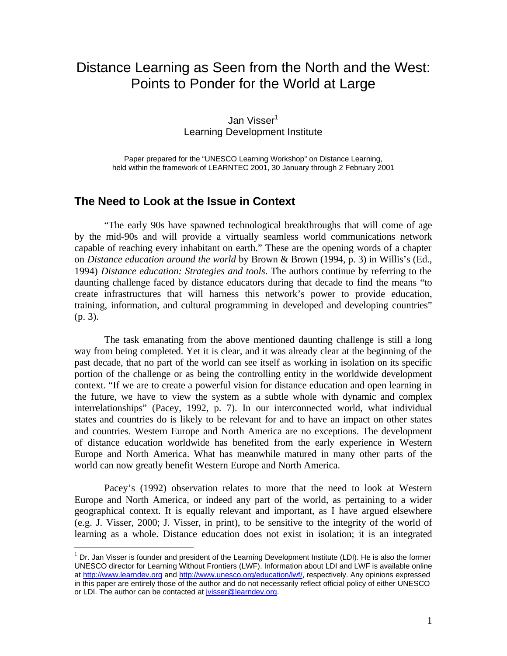# Distance Learning as Seen from the North and the West: Points to Ponder for the World at Large

Jan Visser<sup>1</sup> Learning Development Institute

Paper prepared for the "UNESCO Learning Workshop" on Distance Learning, held within the framework of LEARNTEC 2001, 30 January through 2 February 2001

### **The Need to Look at the Issue in Context**

 $\overline{a}$ 

"The early 90s have spawned technological breakthroughs that will come of age by the mid-90s and will provide a virtually seamless world communications network capable of reaching every inhabitant on earth." These are the opening words of a chapter on *Distance education around the world* by Brown & Brown (1994, p. 3) in Willis's (Ed., 1994) *Distance education: Strategies and tools*. The authors continue by referring to the daunting challenge faced by distance educators during that decade to find the means "to create infrastructures that will harness this network's power to provide education, training, information, and cultural programming in developed and developing countries" (p. 3).

The task emanating from the above mentioned daunting challenge is still a long way from being completed. Yet it is clear, and it was already clear at the beginning of the past decade, that no part of the world can see itself as working in isolation on its specific portion of the challenge or as being the controlling entity in the worldwide development context. "If we are to create a powerful vision for distance education and open learning in the future, we have to view the system as a subtle whole with dynamic and complex interrelationships" (Pacey, 1992, p. 7). In our interconnected world, what individual states and countries do is likely to be relevant for and to have an impact on other states and countries. Western Europe and North America are no exceptions. The development of distance education worldwide has benefited from the early experience in Western Europe and North America. What has meanwhile matured in many other parts of the world can now greatly benefit Western Europe and North America.

Pacey's (1992) observation relates to more that the need to look at Western Europe and North America, or indeed any part of the world, as pertaining to a wider geographical context. It is equally relevant and important, as I have argued elsewhere (e.g. J. Visser, 2000; J. Visser, in print), to be sensitive to the integrity of the world of learning as a whole. Distance education does not exist in isolation; it is an integrated

 $1$  Dr. Jan Visser is founder and president of the Learning Development Institute (LDI). He is also the former UNESCO director for Learning Without Frontiers (LWF). Information about LDI and LWF is available online at http://www.learndev.org and http://www.unesco.org/education/lwf/, respectively. Any opinions expressed in this paper are entirely those of the author and do not necessarily reflect official policy of either UNESCO or LDI. The author can be contacted at jvisser@learndev.org.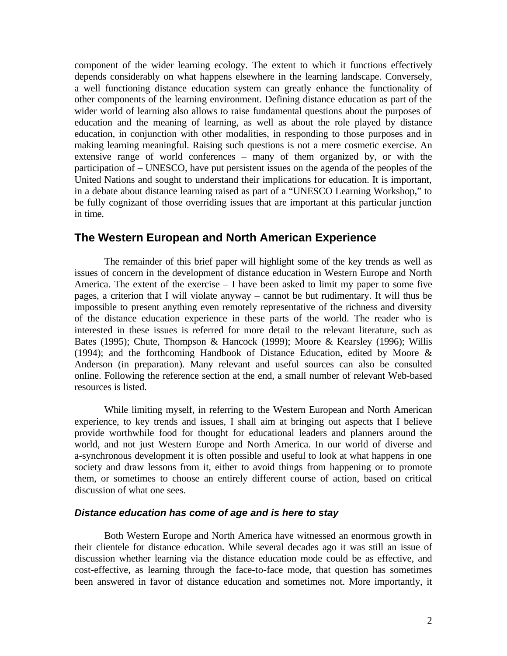component of the wider learning ecology. The extent to which it functions effectively depends considerably on what happens elsewhere in the learning landscape. Conversely, a well functioning distance education system can greatly enhance the functionality of other components of the learning environment. Defining distance education as part of the wider world of learning also allows to raise fundamental questions about the purposes of education and the meaning of learning, as well as about the role played by distance education, in conjunction with other modalities, in responding to those purposes and in making learning meaningful. Raising such questions is not a mere cosmetic exercise. An extensive range of world conferences – many of them organized by, or with the participation of – UNESCO, have put persistent issues on the agenda of the peoples of the United Nations and sought to understand their implications for education. It is important, in a debate about distance learning raised as part of a "UNESCO Learning Workshop," to be fully cognizant of those overriding issues that are important at this particular junction in time.

### **The Western European and North American Experience**

The remainder of this brief paper will highlight some of the key trends as well as issues of concern in the development of distance education in Western Europe and North America. The extent of the exercise – I have been asked to limit my paper to some five pages, a criterion that I will violate anyway – cannot be but rudimentary. It will thus be impossible to present anything even remotely representative of the richness and diversity of the distance education experience in these parts of the world. The reader who is interested in these issues is referred for more detail to the relevant literature, such as Bates (1995); Chute, Thompson & Hancock (1999); Moore & Kearsley (1996); Willis (1994); and the forthcoming Handbook of Distance Education, edited by Moore & Anderson (in preparation). Many relevant and useful sources can also be consulted online. Following the reference section at the end, a small number of relevant Web-based resources is listed.

While limiting myself, in referring to the Western European and North American experience, to key trends and issues, I shall aim at bringing out aspects that I believe provide worthwhile food for thought for educational leaders and planners around the world, and not just Western Europe and North America. In our world of diverse and a-synchronous development it is often possible and useful to look at what happens in one society and draw lessons from it, either to avoid things from happening or to promote them, or sometimes to choose an entirely different course of action, based on critical discussion of what one sees.

#### *Distance education has come of age and is here to stay*

Both Western Europe and North America have witnessed an enormous growth in their clientele for distance education. While several decades ago it was still an issue of discussion whether learning via the distance education mode could be as effective, and cost-effective, as learning through the face-to-face mode, that question has sometimes been answered in favor of distance education and sometimes not. More importantly, it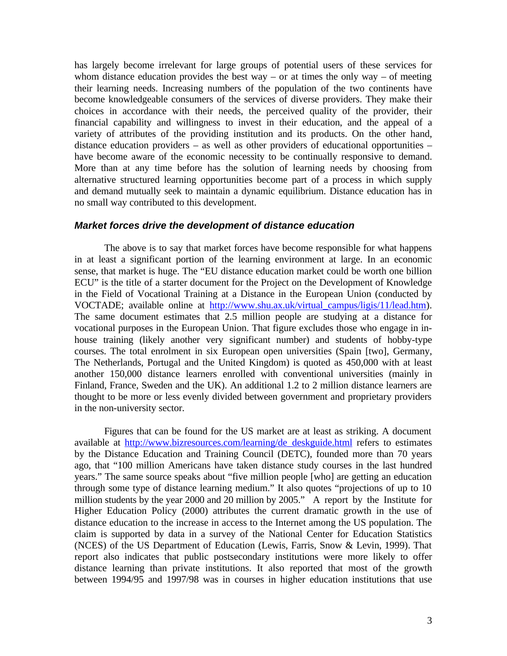has largely become irrelevant for large groups of potential users of these services for whom distance education provides the best way – or at times the only way – of meeting their learning needs. Increasing numbers of the population of the two continents have become knowledgeable consumers of the services of diverse providers. They make their choices in accordance with their needs, the perceived quality of the provider, their financial capability and willingness to invest in their education, and the appeal of a variety of attributes of the providing institution and its products. On the other hand, distance education providers – as well as other providers of educational opportunities – have become aware of the economic necessity to be continually responsive to demand. More than at any time before has the solution of learning needs by choosing from alternative structured learning opportunities become part of a process in which supply and demand mutually seek to maintain a dynamic equilibrium. Distance education has in no small way contributed to this development.

#### *Market forces drive the development of distance education*

The above is to say that market forces have become responsible for what happens in at least a significant portion of the learning environment at large. In an economic sense, that market is huge. The "EU distance education market could be worth one billion ECU" is the title of a starter document for the Project on the Development of Knowledge in the Field of Vocational Training at a Distance in the European Union (conducted by VOCTADE; available online at http://www.shu.ax.uk/virtual\_campus/ligis/11/lead.htm). The same document estimates that 2.5 million people are studying at a distance for vocational purposes in the European Union. That figure excludes those who engage in inhouse training (likely another very significant number) and students of hobby-type courses. The total enrolment in six European open universities (Spain [two], Germany, The Netherlands, Portugal and the United Kingdom) is quoted as 450,000 with at least another 150,000 distance learners enrolled with conventional universities (mainly in Finland, France, Sweden and the UK). An additional 1.2 to 2 million distance learners are thought to be more or less evenly divided between government and proprietary providers in the non-university sector.

Figures that can be found for the US market are at least as striking. A document available at http://www.bizresources.com/learning/de deskguide.html refers to estimates by the Distance Education and Training Council (DETC), founded more than 70 years ago, that "100 million Americans have taken distance study courses in the last hundred years." The same source speaks about "five million people [who] are getting an education through some type of distance learning medium." It also quotes "projections of up to 10 million students by the year 2000 and 20 million by 2005." A report by the Institute for Higher Education Policy (2000) attributes the current dramatic growth in the use of distance education to the increase in access to the Internet among the US population. The claim is supported by data in a survey of the National Center for Education Statistics (NCES) of the US Department of Education (Lewis, Farris, Snow & Levin, 1999). That report also indicates that public postsecondary institutions were more likely to offer distance learning than private institutions. It also reported that most of the growth between 1994/95 and 1997/98 was in courses in higher education institutions that use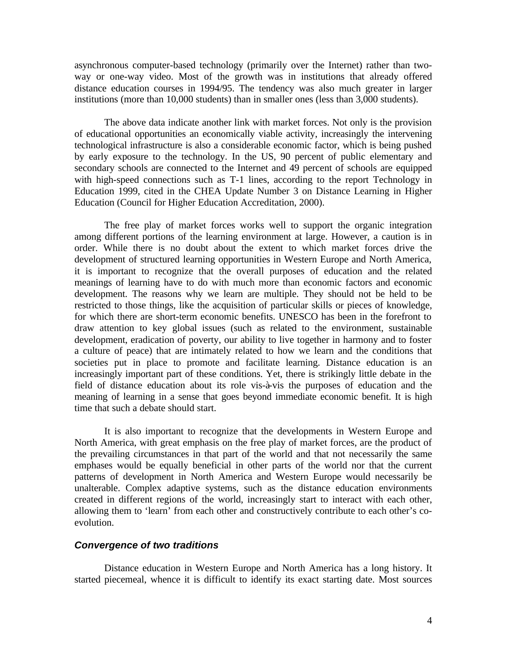asynchronous computer-based technology (primarily over the Internet) rather than twoway or one-way video. Most of the growth was in institutions that already offered distance education courses in 1994/95. The tendency was also much greater in larger institutions (more than 10,000 students) than in smaller ones (less than 3,000 students).

The above data indicate another link with market forces. Not only is the provision of educational opportunities an economically viable activity, increasingly the intervening technological infrastructure is also a considerable economic factor, which is being pushed by early exposure to the technology. In the US, 90 percent of public elementary and secondary schools are connected to the Internet and 49 percent of schools are equipped with high-speed connections such as T-1 lines, according to the report Technology in Education 1999, cited in the CHEA Update Number 3 on Distance Learning in Higher Education (Council for Higher Education Accreditation, 2000).

The free play of market forces works well to support the organic integration among different portions of the learning environment at large. However, a caution is in order. While there is no doubt about the extent to which market forces drive the development of structured learning opportunities in Western Europe and North America, it is important to recognize that the overall purposes of education and the related meanings of learning have to do with much more than economic factors and economic development. The reasons why we learn are multiple. They should not be held to be restricted to those things, like the acquisition of particular skills or pieces of knowledge, for which there are short-term economic benefits. UNESCO has been in the forefront to draw attention to key global issues (such as related to the environment, sustainable development, eradication of poverty, our ability to live together in harmony and to foster a culture of peace) that are intimately related to how we learn and the conditions that societies put in place to promote and facilitate learning. Distance education is an increasingly important part of these conditions. Yet, there is strikingly little debate in the field of distance education about its role vis-à-vis the purposes of education and the meaning of learning in a sense that goes beyond immediate economic benefit. It is high time that such a debate should start.

It is also important to recognize that the developments in Western Europe and North America, with great emphasis on the free play of market forces, are the product of the prevailing circumstances in that part of the world and that not necessarily the same emphases would be equally beneficial in other parts of the world nor that the current patterns of development in North America and Western Europe would necessarily be unalterable. Complex adaptive systems, such as the distance education environments created in different regions of the world, increasingly start to interact with each other, allowing them to 'learn' from each other and constructively contribute to each other's coevolution.

#### *Convergence of two traditions*

Distance education in Western Europe and North America has a long history. It started piecemeal, whence it is difficult to identify its exact starting date. Most sources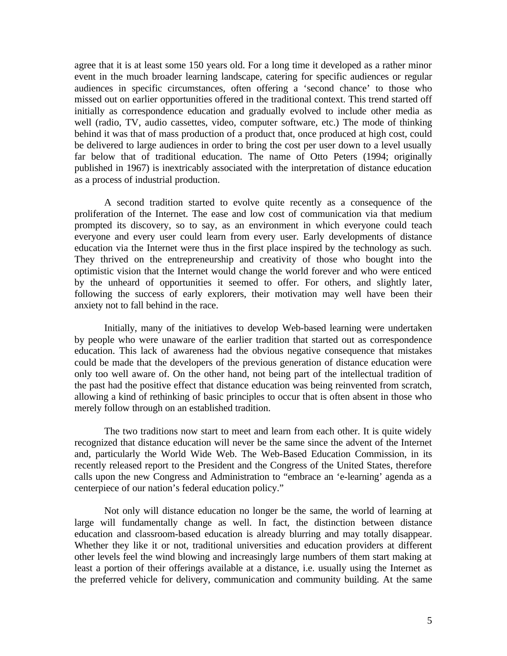agree that it is at least some 150 years old. For a long time it developed as a rather minor event in the much broader learning landscape, catering for specific audiences or regular audiences in specific circumstances, often offering a 'second chance' to those who missed out on earlier opportunities offered in the traditional context. This trend started off initially as correspondence education and gradually evolved to include other media as well (radio, TV, audio cassettes, video, computer software, etc.) The mode of thinking behind it was that of mass production of a product that, once produced at high cost, could be delivered to large audiences in order to bring the cost per user down to a level usually far below that of traditional education. The name of Otto Peters (1994; originally published in 1967) is inextricably associated with the interpretation of distance education as a process of industrial production.

A second tradition started to evolve quite recently as a consequence of the proliferation of the Internet. The ease and low cost of communication via that medium prompted its discovery, so to say, as an environment in which everyone could teach everyone and every user could learn from every user. Early developments of distance education via the Internet were thus in the first place inspired by the technology as such. They thrived on the entrepreneurship and creativity of those who bought into the optimistic vision that the Internet would change the world forever and who were enticed by the unheard of opportunities it seemed to offer. For others, and slightly later, following the success of early explorers, their motivation may well have been their anxiety not to fall behind in the race.

Initially, many of the initiatives to develop Web-based learning were undertaken by people who were unaware of the earlier tradition that started out as correspondence education. This lack of awareness had the obvious negative consequence that mistakes could be made that the developers of the previous generation of distance education were only too well aware of. On the other hand, not being part of the intellectual tradition of the past had the positive effect that distance education was being reinvented from scratch, allowing a kind of rethinking of basic principles to occur that is often absent in those who merely follow through on an established tradition.

The two traditions now start to meet and learn from each other. It is quite widely recognized that distance education will never be the same since the advent of the Internet and, particularly the World Wide Web. The Web-Based Education Commission, in its recently released report to the President and the Congress of the United States, therefore calls upon the new Congress and Administration to "embrace an 'e-learning' agenda as a centerpiece of our nation's federal education policy."

Not only will distance education no longer be the same, the world of learning at large will fundamentally change as well. In fact, the distinction between distance education and classroom-based education is already blurring and may totally disappear. Whether they like it or not, traditional universities and education providers at different other levels feel the wind blowing and increasingly large numbers of them start making at least a portion of their offerings available at a distance, i.e. usually using the Internet as the preferred vehicle for delivery, communication and community building. At the same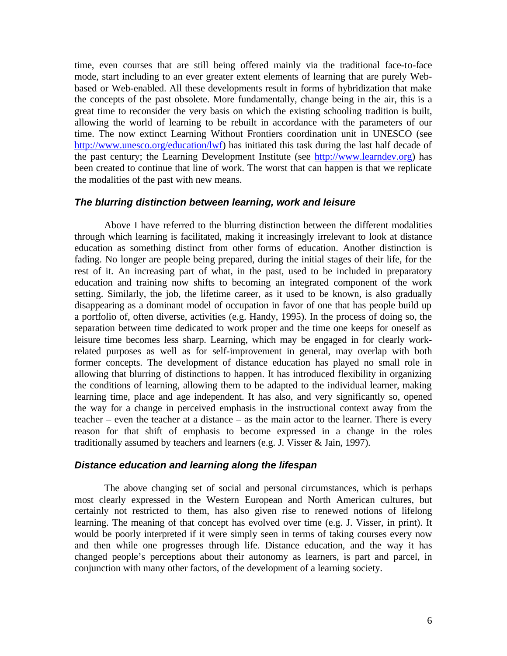time, even courses that are still being offered mainly via the traditional face-to-face mode, start including to an ever greater extent elements of learning that are purely Webbased or Web-enabled. All these developments result in forms of hybridization that make the concepts of the past obsolete. More fundamentally, change being in the air, this is a great time to reconsider the very basis on which the existing schooling tradition is built, allowing the world of learning to be rebuilt in accordance with the parameters of our time. The now extinct Learning Without Frontiers coordination unit in UNESCO (see http://www.unesco.org/education/lwf) has initiated this task during the last half decade of the past century; the Learning Development Institute (see http://www.learndev.org) has been created to continue that line of work. The worst that can happen is that we replicate the modalities of the past with new means.

#### *The blurring distinction between learning, work and leisure*

Above I have referred to the blurring distinction between the different modalities through which learning is facilitated, making it increasingly irrelevant to look at distance education as something distinct from other forms of education. Another distinction is fading. No longer are people being prepared, during the initial stages of their life, for the rest of it. An increasing part of what, in the past, used to be included in preparatory education and training now shifts to becoming an integrated component of the work setting. Similarly, the job, the lifetime career, as it used to be known, is also gradually disappearing as a dominant model of occupation in favor of one that has people build up a portfolio of, often diverse, activities (e.g. Handy, 1995). In the process of doing so, the separation between time dedicated to work proper and the time one keeps for oneself as leisure time becomes less sharp. Learning, which may be engaged in for clearly workrelated purposes as well as for self-improvement in general, may overlap with both former concepts. The development of distance education has played no small role in allowing that blurring of distinctions to happen. It has introduced flexibility in organizing the conditions of learning, allowing them to be adapted to the individual learner, making learning time, place and age independent. It has also, and very significantly so, opened the way for a change in perceived emphasis in the instructional context away from the teacher – even the teacher at a distance – as the main actor to the learner. There is every reason for that shift of emphasis to become expressed in a change in the roles traditionally assumed by teachers and learners (e.g. J. Visser & Jain, 1997).

#### *Distance education and learning along the lifespan*

The above changing set of social and personal circumstances, which is perhaps most clearly expressed in the Western European and North American cultures, but certainly not restricted to them, has also given rise to renewed notions of lifelong learning. The meaning of that concept has evolved over time (e.g. J. Visser, in print). It would be poorly interpreted if it were simply seen in terms of taking courses every now and then while one progresses through life. Distance education, and the way it has changed people's perceptions about their autonomy as learners, is part and parcel, in conjunction with many other factors, of the development of a learning society.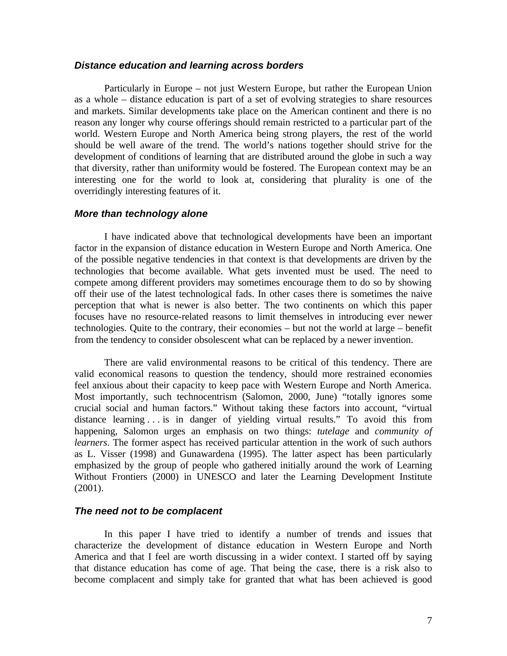#### *Distance education and learning across borders*

Particularly in Europe – not just Western Europe, but rather the European Union as a whole – distance education is part of a set of evolving strategies to share resources and markets. Similar developments take place on the American continent and there is no reason any longer why course offerings should remain restricted to a particular part of the world. Western Europe and North America being strong players, the rest of the world should be well aware of the trend. The world's nations together should strive for the development of conditions of learning that are distributed around the globe in such a way that diversity, rather than uniformity would be fostered. The European context may be an interesting one for the world to look at, considering that plurality is one of the overridingly interesting features of it.

#### *More than technology alone*

I have indicated above that technological developments have been an important factor in the expansion of distance education in Western Europe and North America. One of the possible negative tendencies in that context is that developments are driven by the technologies that become available. What gets invented must be used. The need to compete among different providers may sometimes encourage them to do so by showing off their use of the latest technological fads. In other cases there is sometimes the naive perception that what is newer is also better. The two continents on which this paper focuses have no resource-related reasons to limit themselves in introducing ever newer technologies. Quite to the contrary, their economies – but not the world at large – benefit from the tendency to consider obsolescent what can be replaced by a newer invention.

There are valid environmental reasons to be critical of this tendency. There are valid economical reasons to question the tendency, should more restrained economies feel anxious about their capacity to keep pace with Western Europe and North America. Most importantly, such technocentrism (Salomon, 2000, June) "totally ignores some crucial social and human factors." Without taking these factors into account, "virtual distance learning . . . is in danger of yielding virtual results." To avoid this from happening, Salomon urges an emphasis on two things: *tutelage* and *community of learners*. The former aspect has received particular attention in the work of such authors as L. Visser (1998) and Gunawardena (1995). The latter aspect has been particularly emphasized by the group of people who gathered initially around the work of Learning Without Frontiers (2000) in UNESCO and later the Learning Development Institute (2001).

#### *The need not to be complacent*

In this paper I have tried to identify a number of trends and issues that characterize the development of distance education in Western Europe and North America and that I feel are worth discussing in a wider context. I started off by saying that distance education has come of age. That being the case, there is a risk also to become complacent and simply take for granted that what has been achieved is good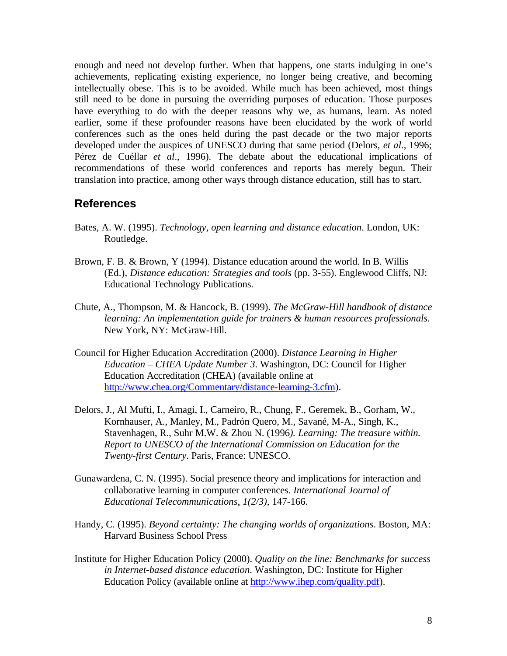enough and need not develop further. When that happens, one starts indulging in one's achievements, replicating existing experience, no longer being creative, and becoming intellectually obese. This is to be avoided. While much has been achieved, most things still need to be done in pursuing the overriding purposes of education. Those purposes have everything to do with the deeper reasons why we, as humans, learn. As noted earlier, some if these profounder reasons have been elucidated by the work of world conferences such as the ones held during the past decade or the two major reports developed under the auspices of UNESCO during that same period (Delors, *et al*., 1996; Pérez de Cuéllar *et al*., 1996). The debate about the educational implications of recommendations of these world conferences and reports has merely begun. Their translation into practice, among other ways through distance education, still has to start.

### **References**

- Bates, A. W. (1995). *Technology, open learning and distance education*. London, UK: Routledge.
- Brown, F. B. & Brown, Y (1994). Distance education around the world. In B. Willis (Ed.), *Distance education: Strategies and tools* (pp. 3-55). Englewood Cliffs, NJ: Educational Technology Publications.
- Chute, A., Thompson, M. & Hancock, B. (1999). *The McGraw-Hill handbook of distance learning: An implementation guide for trainers & human resources professionals*. New York, NY: McGraw-Hill.
- Council for Higher Education Accreditation (2000). *Distance Learning in Higher Education – CHEA Update Number 3*. Washington, DC: Council for Higher Education Accreditation (CHEA) (available online at http://www.chea.org/Commentary/distance-learning-3.cfm).
- Delors, J., Al Mufti, I., Amagi, I., Carneiro, R., Chung, F., Geremek, B., Gorham, W., Kornhauser, A., Manley, M., Padrón Quero, M., Savané, M-A., Singh, K., Stavenhagen, R., Suhr M.W. & Zhou N. (1996*). Learning: The treasure within. Report to UNESCO of the International Commission on Education for the Twenty-first Century*. Paris, France: UNESCO.
- Gunawardena, C. N. (1995). Social presence theory and implications for interaction and collaborative learning in computer conferences. *International Journal of Educational Telecommunications*, *1(2/3)*, 147-166.
- Handy, C. (1995). *Beyond certainty: The changing worlds of organizations*. Boston, MA: Harvard Business School Press
- Institute for Higher Education Policy (2000). *Quality on the line: Benchmarks for success in Internet-based distance education*. Washington, DC: Institute for Higher Education Policy (available online at http://www.ihep.com/quality.pdf).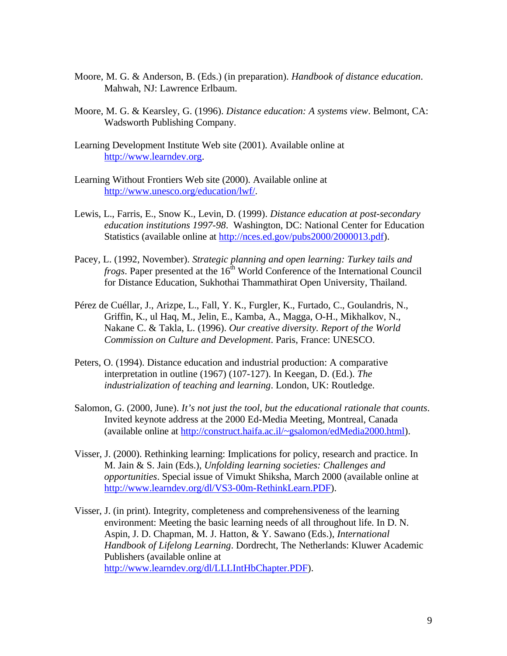- Moore, M. G. & Anderson, B. (Eds.) (in preparation). *Handbook of distance education*. Mahwah, NJ: Lawrence Erlbaum.
- Moore, M. G. & Kearsley, G. (1996). *Distance education: A systems view*. Belmont, CA: Wadsworth Publishing Company.
- Learning Development Institute Web site (2001). Available online at http://www.learndev.org.
- Learning Without Frontiers Web site (2000). Available online at http://www.unesco.org/education/lwf/.
- Lewis, L., Farris, E., Snow K., Levin, D. (1999). *Distance education at post-secondary education institutions 1997-98*. Washington, DC: National Center for Education Statistics (available online at http://nces.ed.gov/pubs2000/2000013.pdf).
- Pacey, L. (1992, November). *Strategic planning and open learning: Turkey tails and frogs*. Paper presented at the 16<sup>th</sup> World Conference of the International Council for Distance Education, Sukhothai Thammathirat Open University, Thailand.
- Pérez de Cuéllar, J., Arizpe, L., Fall, Y. K., Furgler, K., Furtado, C., Goulandris, N., Griffin, K., ul Haq, M., Jelin, E., Kamba, A., Magga, O-H., Mikhalkov, N., Nakane C. & Takla, L. (1996). *Our creative diversity. Report of the World Commission on Culture and Development*. Paris, France: UNESCO.
- Peters, O. (1994). Distance education and industrial production: A comparative interpretation in outline (1967) (107-127). In Keegan, D. (Ed.). *The industrialization of teaching and learning*. London, UK: Routledge.
- Salomon, G. (2000, June). *It's not just the tool, but the educational rationale that counts*. Invited keynote address at the 2000 Ed-Media Meeting, Montreal, Canada (available online at http://construct.haifa.ac.il/~gsalomon/edMedia2000.html).
- Visser, J. (2000). Rethinking learning: Implications for policy, research and practice. In M. Jain & S. Jain (Eds.), *Unfolding learning societies: Challenges and opportunities*. Special issue of Vimukt Shiksha, March 2000 (available online at http://www.learndev.org/dl/VS3-00m-RethinkLearn.PDF).
- Visser, J. (in print). Integrity, completeness and comprehensiveness of the learning environment: Meeting the basic learning needs of all throughout life. In D. N. Aspin, J. D. Chapman, M. J. Hatton, & Y. Sawano (Eds.), *International Handbook of Lifelong Learning*. Dordrecht, The Netherlands: Kluwer Academic Publishers (available online at http://www.learndev.org/dl/LLLIntHbChapter.PDF).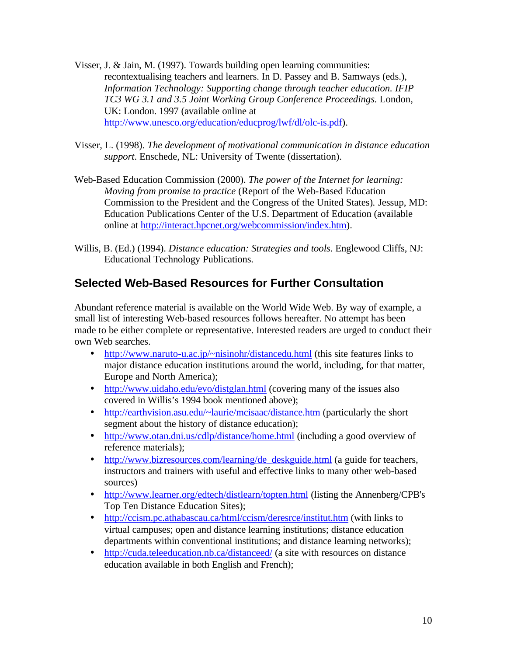- Visser, J. & Jain, M. (1997). Towards building open learning communities: recontextualising teachers and learners. In D. Passey and B. Samways (eds.), *Information Technology: Supporting change through teacher education. IFIP TC3 WG 3.1 and 3.5 Joint Working Group Conference Proceedings.* London, UK: London. 1997 (available online at http://www.unesco.org/education/educprog/lwf/dl/olc-is.pdf).
- Visser, L. (1998). *The development of motivational communication in distance education support*. Enschede, NL: University of Twente (dissertation).
- Web-Based Education Commission (2000). *The power of the Internet for learning: Moving from promise to practice* (Report of the Web-Based Education Commission to the President and the Congress of the United States)*.* Jessup, MD: Education Publications Center of the U.S. Department of Education (available online at http://interact.hpcnet.org/webcommission/index.htm).
- Willis, B. (Ed.) (1994). *Distance education: Strategies and tools*. Englewood Cliffs, NJ: Educational Technology Publications.

## **Selected Web-Based Resources for Further Consultation**

Abundant reference material is available on the World Wide Web. By way of example, a small list of interesting Web-based resources follows hereafter. No attempt has been made to be either complete or representative. Interested readers are urged to conduct their own Web searches.

- http://www.naruto-u.ac.jp/~nisinohr/distancedu.html (this site features links to major distance education institutions around the world, including, for that matter, Europe and North America);
- http://www.uidaho.edu/evo/distglan.html (covering many of the issues also covered in Willis's 1994 book mentioned above);
- http://earthvision.asu.edu/~laurie/mcisaac/distance.htm (particularly the short segment about the history of distance education);
- http://www.otan.dni.us/cdlp/distance/home.html (including a good overview of reference materials);
- http://www.bizresources.com/learning/de\_deskguide.html (a guide for teachers, instructors and trainers with useful and effective links to many other web-based sources)
- http://www.learner.org/edtech/distlearn/topten.html (listing the Annenberg/CPB's Top Ten Distance Education Sites);
- http://ccism.pc.athabascau.ca/html/ccism/deresrce/institut.htm (with links to virtual campuses; open and distance learning institutions; distance education departments within conventional institutions; and distance learning networks);
- http://cuda.teleeducation.nb.ca/distanceed/ (a site with resources on distance education available in both English and French);